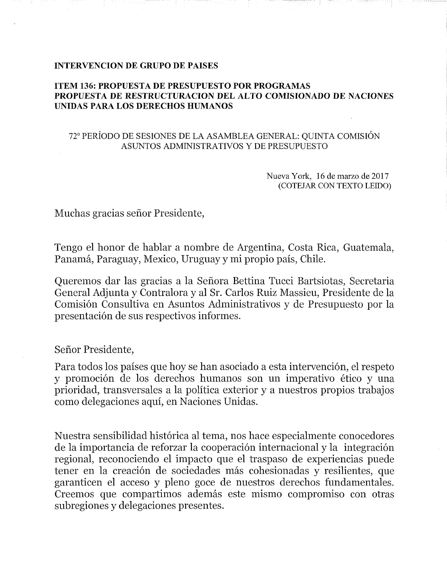#### INTERVENCION DE GRUPO DE PAISES

### ITEM 136: PROPUESTA DE PRESUPUESTO POR PROGRAMAS PROPUESTA DE RESTRUCTURACION DEL ALTO COMISIONADO DE NACIONES UNIDAS PARA LOS DERECHOS HUMANOS

#### 72° PERIODO DE SESIONES DE LA ASAMBLEA GENERAL: QUINTA COMISION ASUNTOS ADMINISTRATIVOS Y DE PRESUPUESTO

Nueva York, 16 de marzo de 2017 (COTEJAR CON TEXTO LEIDO)

Muchas gracias sefior Presidente,

Tengo el honor de hablar a nombre de Argentina, Costa Riea, Guatemala, Panamá, Paraguay, Mexico, Uruguay y mi propio país, Chile.

Queremos dar las gracias a la Sefiora Bettina Tueei Bartsiotas, Secretaria General Adjunta y Contralora y al Sr. Carlos Ruiz Massieu, Presidente de la Comisión Consultiva en Asuntos Administrativos y de Presupuesto por la presentaei6n de sus respectivos informes.

Sefior Presidente,

Para todos los países que hoy se han asociado a esta intervención, el respeto y promoción de los derechos humanos son un imperativo ético y una prioridad, transversales a la politica exterior y a nuestros propios trabajos como delegaeiones aqui, en Naciones Unidas.

Nuestra sensibilidad histórica al tema, nos hace especialmente conocedores de la importancia de reforzar la cooperación internacional y la integración regional, reconociendo el impaeto que el traspaso de experiencias puede tener en la creación de sociedades más cohesionadas y resilientes, que garanticen el acceso y pleno goce de nuestros derechos fundamentales. Creemos que compartimos además este mismo compromiso con otras subregiones y delegaciones presentes.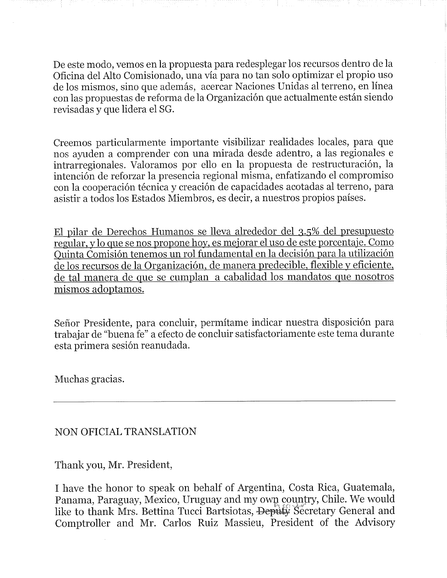De este modo, vemos en la propuesta para redesplegar los recursos dentro de la Oficina del Alto Comisionado, una via para no tan solo optimizar el propio uso de los mismos, sino que además, acercar Naciones Unidas al terreno, en línea con las propuestas de reforma de la Organización que actualmente están siendo revisadas y que lidera el SG.

Creemos particularmente importante visibilizar realidades locales, para que nos ayuden a comprender con una mirada desde adentro, a las regionales e intrarregionales. Valoramos por ello en la propuesta de restructuración, la intenci6n de reforzar la presencia regional misma, enfatizando el compromiso con la cooperación técnica y creación de capacidades acotadas al terreno, para asistir a todos los Estados Miembros, es decir, a nuestros propios paises.

E1 pilar de Dereehos Humanos se lleva alrededor del 3.5% del presupuesto regular, ylo que se nos propone hoy, es mejorar el uso de este porcentaje. Como Quinta Comisión tenemos un rol fundamental en la decisión para la utilización de los recursos de la Organización, de manera predecible, flexible y eficiente, de tal manera de que se cumplan a cabalidad los mandatos que nosotros mismos adoptamos.

Señor Presidente, para concluir, permítame indicar nuestra disposición para trabajar de "buena fe" a efecto de concluir satisfactoriamente este tema durante esta primera sesión reanudada.

Muchas gracias.

# NON OFICIAL TRANSLATION

Thank you, Mr. President,

I have the honor to speak on behalf of Argentina, Costa Rica, Guatemala, Panama, Paraguay, Mexico, Uruguay and my own country, Chile. We would like to thank Mrs. Bettina Tucci Bartsiotas, Deputy Secretary General and Comptroller and Mr. Carlos Ruiz Massieu, President of the Advisory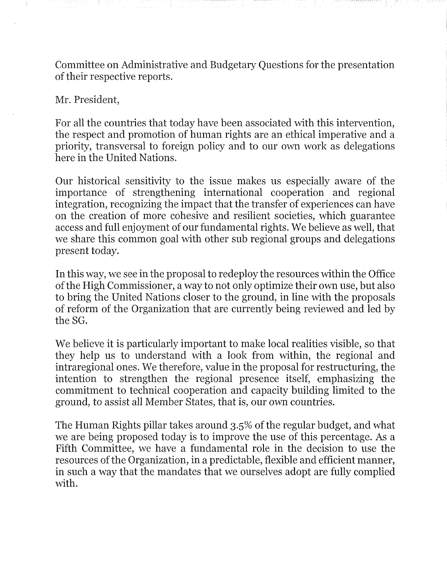Committee on Administrative and Budgetary Questions for the presentation of their respective reports.

## Mr. President,

For all the countries that today have been associated with this intervention, the respect and promotion of human rights are an ethical imperative and a priority, transversal to foreign policy and to our own work as delegations here in the United Nations.

Our historical sensitivity to the issue makes us especially aware of the importance of strengthening international cooperation and regional integration, recognizing the impact that the transfer of experiences can have on the creation of more cohesive and resilient societies, which guarantee access and full enjoyment of our fundamental rights. We believe as well, that we share this common goal with other sub regional groups and delegations present today.

In this way, we see in the proposal to redeploy the resources within the Office of the High Commissioner, a way to not only optimize their own use, but also to bring the United Nations closer to the ground, in line with the proposals of reform of the Organization that are currently being reviewed and led by the SG.

We believe it is particularly important to make local realities visible, so that they help us to understand with a look from within, the regional and intraregional ones. We therefore, value in the proposal for restructuring, the intention to strengthen the regional presence itself, emphasizing the commitment to techniea! cooperation and capacity building limited to the ground, to assist all Member States, that is, our own countries.

The Human Rights pillar takes around 3.5% of the regular budget, and what we are being proposed today is to improve the use of this percentage. As a Fifth Committee, we have a fundamental role in the decision to use the resources of the Organization, in a predictable, flexible and efficient manner, in such a way that the mandates that we ourselves adopt are fully complied with.